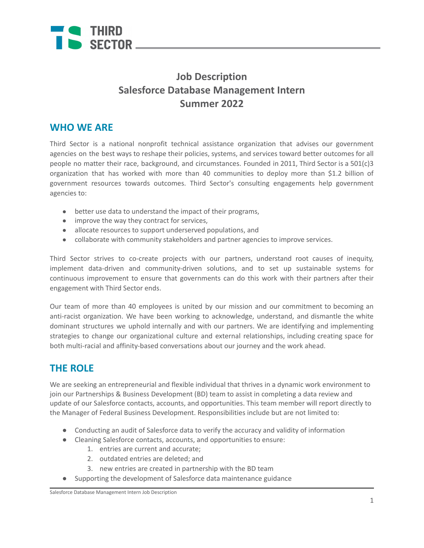

# **Job Description Salesforce Database Management Intern Summer 2022**

#### **WHO WE ARE**

Third Sector is a national nonprofit technical assistance organization that advises our government agencies on the best ways to reshape their policies, systems, and services toward better outcomes for all people no matter their race, background, and circumstances. Founded in 2011, Third Sector is a 501(c)3 organization that has worked with more than 40 communities to deploy more than \$1.2 billion of government resources towards outcomes. Third Sector's consulting engagements help government agencies to:

- better use data to understand the impact of their programs,
- improve the way they contract for services,
- allocate resources to support underserved populations, and
- collaborate with community stakeholders and partner agencies to improve services.

Third Sector strives to co-create projects with our partners, understand root causes of inequity, implement data-driven and community-driven solutions, and to set up sustainable systems for continuous improvement to ensure that governments can do this work with their partners after their engagement with Third Sector ends.

Our team of more than 40 employees is united by our mission and our commitment to becoming an anti-racist organization. We have been working to acknowledge, understand, and dismantle the white dominant structures we uphold internally and with our partners. We are identifying and implementing strategies to change our organizational culture and external relationships, including creating space for both multi-racial and affinity-based conversations about our journey and the work ahead.

# **THE ROLE**

We are seeking an entrepreneurial and flexible individual that thrives in a dynamic work environment to join our Partnerships & Business Development (BD) team to assist in completing a data review and update of our Salesforce contacts, accounts, and opportunities. This team member will report directly to the Manager of Federal Business Development. Responsibilities include but are not limited to:

- Conducting an audit of Salesforce data to verify the accuracy and validity of information
- Cleaning Salesforce contacts, accounts, and opportunities to ensure:
	- 1. entries are current and accurate;
	- 2. outdated entries are deleted; and
	- 3. new entries are created in partnership with the BD team
- Supporting the development of Salesforce data maintenance guidance